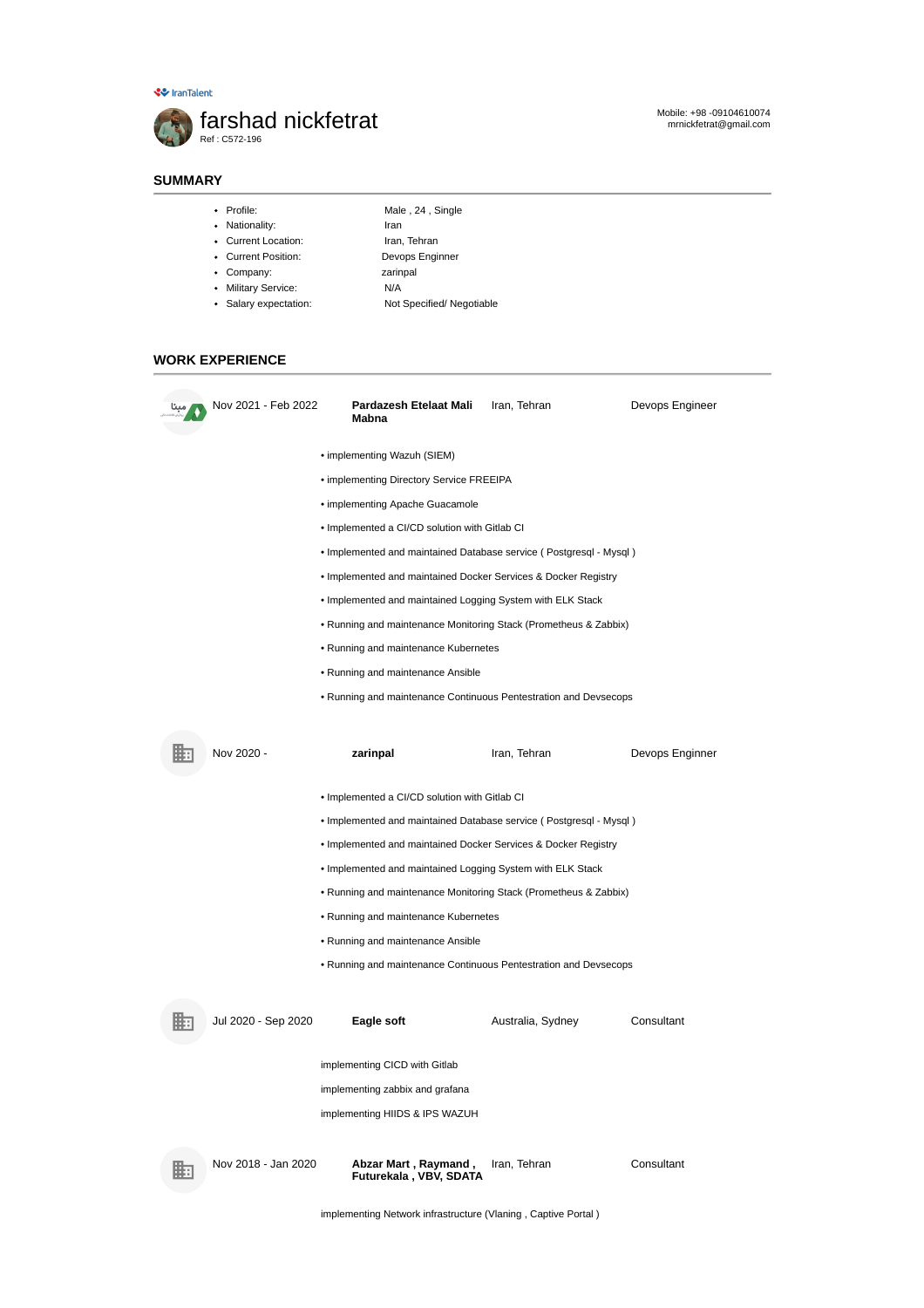-<br>◆ IranTalent



# Mobile: +98 -09104610074 mrnickfetrat@gmail.com

# **SUMMARY**

- Profile: Male , 24 , Single
- Nationality: Iran
- Current Location: Iran, Tehran
- Current Position: Devops Enginner
- Company: zarinpal
	-
- Military Service: N/A
- Salary expectation: Not Specified/ Negotiable
- 

# **WORK EXPERIENCE**

| Nov 2021 - Feb 2022 | Pardazesh Etelaat Mali<br>Mabna                                    | Iran, Tehran      | Devops Engineer |  |  |
|---------------------|--------------------------------------------------------------------|-------------------|-----------------|--|--|
|                     | • implementing Wazuh (SIEM)                                        |                   |                 |  |  |
|                     | • implementing Directory Service FREEIPA                           |                   |                 |  |  |
|                     | • implementing Apache Guacamole                                    |                   |                 |  |  |
|                     | • Implemented a CI/CD solution with Gitlab CI                      |                   |                 |  |  |
|                     | . Implemented and maintained Database service (Postgresql - Mysql) |                   |                 |  |  |
|                     | . Implemented and maintained Docker Services & Docker Registry     |                   |                 |  |  |
|                     | . Implemented and maintained Logging System with ELK Stack         |                   |                 |  |  |
|                     | • Running and maintenance Monitoring Stack (Prometheus & Zabbix)   |                   |                 |  |  |
|                     | • Running and maintenance Kubernetes                               |                   |                 |  |  |
|                     | • Running and maintenance Ansible                                  |                   |                 |  |  |
|                     | • Running and maintenance Continuous Pentestration and Devsecops   |                   |                 |  |  |
|                     |                                                                    |                   |                 |  |  |
| Nov 2020 -          | zarinpal                                                           | Iran, Tehran      | Devops Enginner |  |  |
|                     |                                                                    |                   |                 |  |  |
|                     | • Implemented a CI/CD solution with Gitlab CI                      |                   |                 |  |  |
|                     | . Implemented and maintained Database service (Postgresql - Mysql) |                   |                 |  |  |
|                     | . Implemented and maintained Docker Services & Docker Registry     |                   |                 |  |  |
|                     | . Implemented and maintained Logging System with ELK Stack         |                   |                 |  |  |
|                     | • Running and maintenance Monitoring Stack (Prometheus & Zabbix)   |                   |                 |  |  |
|                     | • Running and maintenance Kubernetes                               |                   |                 |  |  |
|                     | • Running and maintenance Ansible                                  |                   |                 |  |  |
|                     | • Running and maintenance Continuous Pentestration and Devsecops   |                   |                 |  |  |
|                     |                                                                    |                   |                 |  |  |
| Jul 2020 - Sep 2020 | Eagle soft                                                         | Australia, Sydney | Consultant      |  |  |
|                     |                                                                    |                   |                 |  |  |
|                     | implementing CICD with Gitlab                                      |                   |                 |  |  |
|                     | implementing zabbix and grafana                                    |                   |                 |  |  |
|                     | implementing HIIDS & IPS WAZUH                                     |                   |                 |  |  |
| Nov 2018 - Jan 2020 | Abzar Mart , Raymand ,                                             | Iran, Tehran      | Consultant      |  |  |
|                     | Futurekala, VBV, SDATA                                             |                   |                 |  |  |

implementing Network infrastructure (Vlaning , Captive Portal )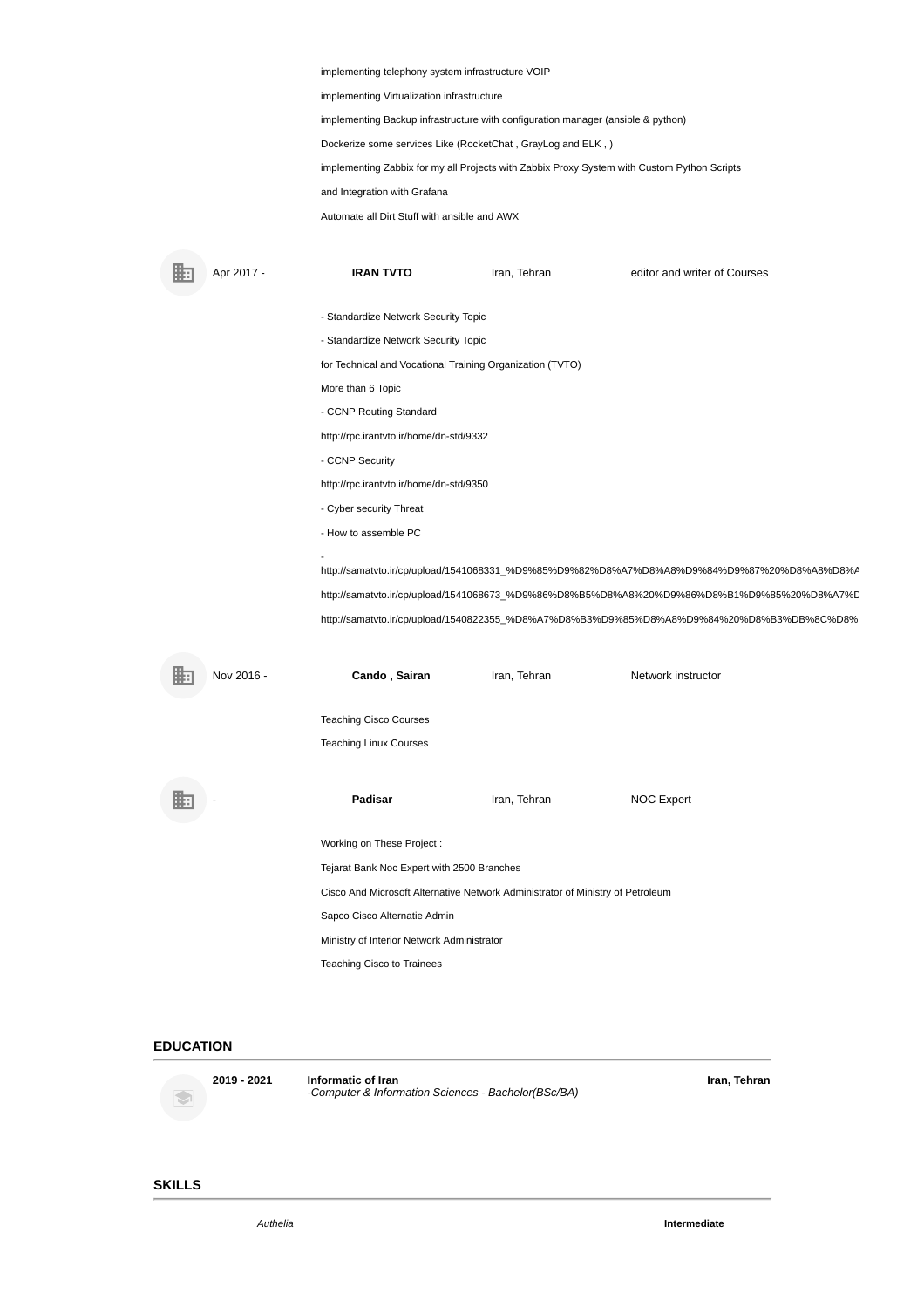implementing telephony system infrastructure VOIP

implementing Virtualization infrastructure

implementing Backup infrastructure with configuration manager (ansible & python)

Dockerize some services Like (RocketChat , GrayLog and ELK , )

implementing Zabbix for my all Projects with Zabbix Proxy System with Custom Python Scripts

and Integration with Grafana

Automate all Dirt Stuff with ansible and AWX

**Apr 2017 - IRAN TVTO** Iran, Tehran editor and writer of Courses 甌 - Standardize Network Security Topic - Standardize Network Security Topic for Technical and Vocational Training Organization (TVTO) More than 6 Topic - CCNP Routing Standard http://rpc.irantvto.ir/home/dn-std/9332 - CCNP Security http://rpc.irantvto.ir/home/dn-std/9350 - Cyber security Threat - How to assemble PC http://samatvto.ir/cp/upload/1541068331\_%D9%85%D9%82%D8%A7%D8%A8%D9%84%D9%87%20%D8%A8%D8%A http://samatvto.ir/cp/upload/1541068673\_%D9%86%D8%B5%D8%A8%20%D9%86%D8%B1%D9%85%20%D8%A7%D http://samatvto.ir/cp/upload/1540822355\_%D8%A7%D8%B3%D9%85%D8%A8%D9%84%20%D8%B3%DB%8C%D8% Nov 2016 - **Cando , Sairan** Iran, Tehran Network instructor 甌 Teaching Cisco Courses Teaching Linux Courses 眮 Padisar Iran, Tehran NOC Expert Working on These Project : Tejarat Bank Noc Expert with 2500 Branches Cisco And Microsoft Alternative Network Administrator of Ministry of Petroleum

Sapco Cisco Alternatie Admin

Ministry of Interior Network Administrator

Teaching Cisco to Trainees

### **EDUCATION**

 $\hat{\mathbf{S}}$ 

**2019 - 2021 Informatic of Iran** *-Computer & Information Sciences - Bachelor(BSc/BA)* **Iran, Tehran**

#### **SKILLS**